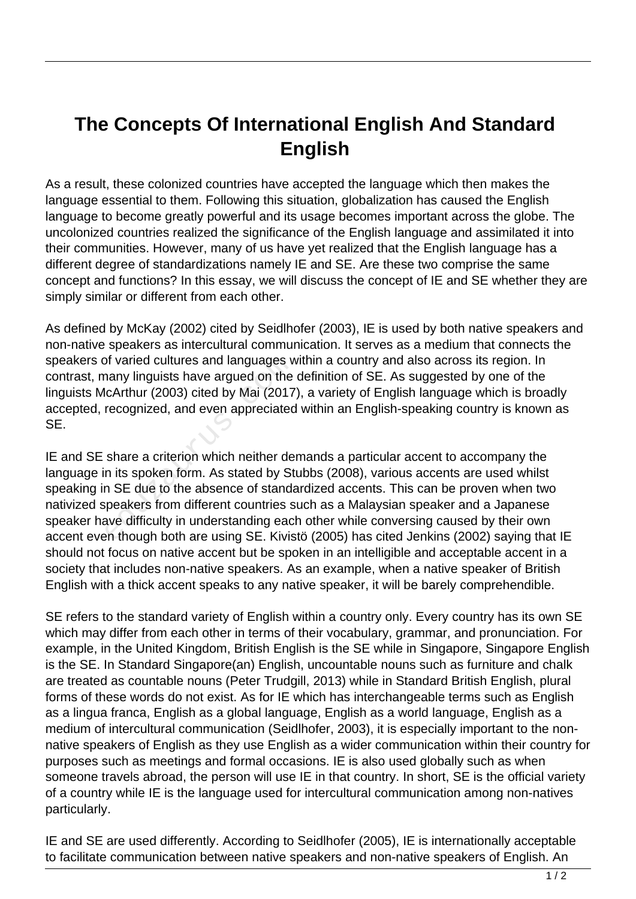## **The Concepts Of International English And Standard English**

As a result, these colonized countries have accepted the language which then makes the language essential to them. Following this situation, globalization has caused the English language to become greatly powerful and its usage becomes important across the globe. The uncolonized countries realized the significance of the English language and assimilated it into their communities. However, many of us have yet realized that the English language has a different degree of standardizations namely IE and SE. Are these two comprise the same concept and functions? In this essay, we will discuss the concept of IE and SE whether they are simply similar or different from each other.

As defined by McKay (2002) cited by Seidlhofer (2003), IE is used by both native speakers and non-native speakers as intercultural communication. It serves as a medium that connects the speakers of varied cultures and languages within a country and also across its region. In contrast, many linguists have argued on the definition of SE. As suggested by one of the linguists McArthur (2003) cited by Mai (2017), a variety of English language which is broadly accepted, recognized, and even appreciated within an English-speaking country is known as SE.

IE and SE share a criterion which neither demands a particular accent to accompany the language in its spoken form. As stated by Stubbs (2008), various accents are used whilst speaking in SE due to the absence of standardized accents. This can be proven when two nativized speakers from different countries such as a Malaysian speaker and a Japanese speaker have difficulty in understanding each other while conversing caused by their own accent even though both are using SE. Kivistö (2005) has cited Jenkins (2002) saying that IE should not focus on native accent but be spoken in an intelligible and acceptable accent in a society that includes non-native speakers. As an example, when a native speaker of British English with a thick accent speaks to any native speaker, it will be barely comprehendible. of varied cultures and languages w<br>hany linguists have argued on the<br>lcArthur (2003) cited by Mai (2017<br>recognized, and even appreciated<br>share a criterion which neither de<br>n its spoken form. As stated by St<br>n SE due to the

SE refers to the standard variety of English within a country only. Every country has its own SE which may differ from each other in terms of their vocabulary, grammar, and pronunciation. For example, in the United Kingdom, British English is the SE while in Singapore, Singapore English is the SE. In Standard Singapore(an) English, uncountable nouns such as furniture and chalk are treated as countable nouns (Peter Trudgill, 2013) while in Standard British English, plural forms of these words do not exist. As for IE which has interchangeable terms such as English as a lingua franca, English as a global language, English as a world language, English as a medium of intercultural communication (Seidlhofer, 2003), it is especially important to the nonnative speakers of English as they use English as a wider communication within their country for purposes such as meetings and formal occasions. IE is also used globally such as when someone travels abroad, the person will use IE in that country. In short, SE is the official variety of a country while IE is the language used for intercultural communication among non-natives particularly.

IE and SE are used differently. According to Seidlhofer (2005), IE is internationally acceptable to facilitate communication between native speakers and non-native speakers of English. An